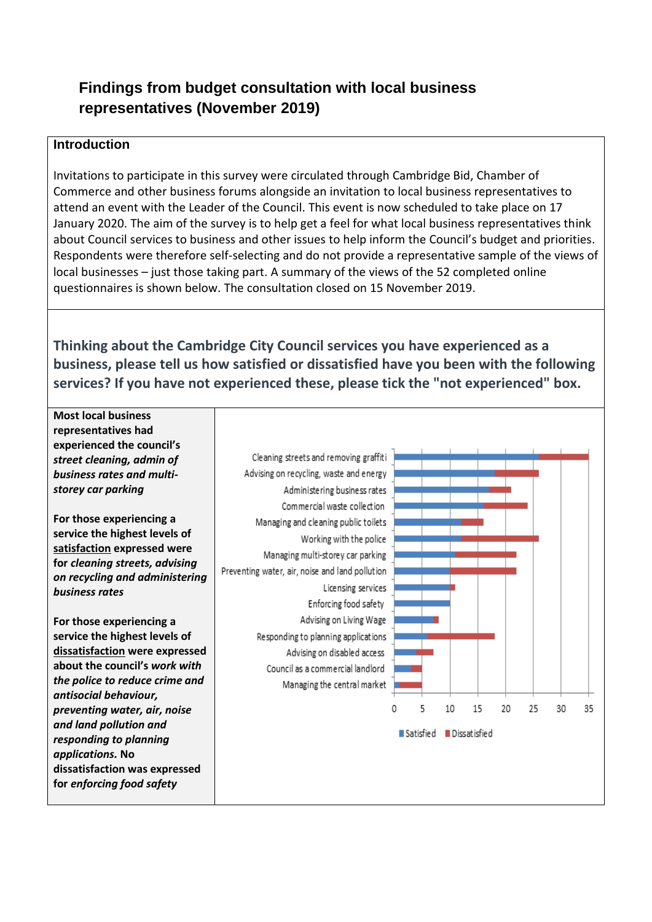# **Findings from budget consultation with local business representatives (November 2019)**

#### **Introduction**

Invitations to participate in this survey were circulated through Cambridge Bid, Chamber of Commerce and other business forums alongside an invitation to local business representatives to attend an event with the Leader of the Council. This event is now scheduled to take place on 17 January 2020. The aim of the survey is to help get a feel for what local business representatives think about Council services to business and other issues to help inform the Council's budget and priorities. Respondents were therefore self-selecting and do not provide a representative sample of the views of local businesses – just those taking part. A summary of the views of the 52 completed online questionnaires is shown below. The consultation closed on 15 November 2019.

**Thinking about the Cambridge City Council services you have experienced as a business, please tell us how satisfied or dissatisfied have you been with the following services? If you have not experienced these, please tick the "not experienced" box.**

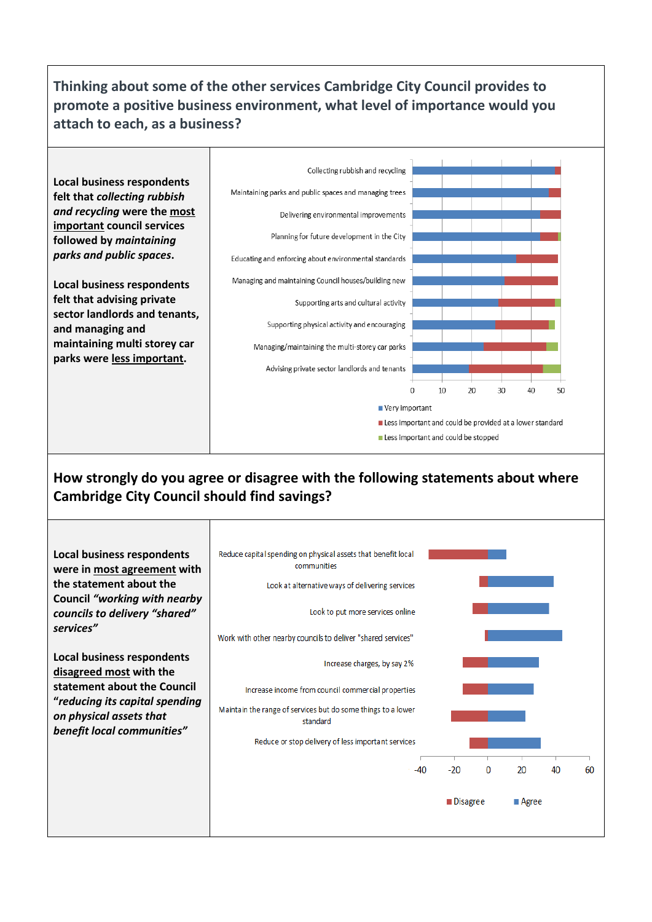# **Thinking about some of the other services Cambridge City Council provides to promote a positive business environment, what level of importance would you attach to each, as a business?**



### **How strongly do you agree or disagree with the following statements about where Cambridge City Council should find savings?**

| <b>Local business respondents</b><br>were in most agreement with<br>the statement about the<br><b>Council "working with nearby</b><br>councils to delivery "shared"<br>services"       | Reduce capital spending on physical assets that benefit local<br>communities<br>Look at alternative ways of delivering services<br>Look to put more services online<br>Work with other nearby councils to deliver "shared services" |                     |   |               |    |    |
|----------------------------------------------------------------------------------------------------------------------------------------------------------------------------------------|-------------------------------------------------------------------------------------------------------------------------------------------------------------------------------------------------------------------------------------|---------------------|---|---------------|----|----|
| <b>Local business respondents</b><br>disagreed most with the<br>statement about the Council<br>"reducing its capital spending<br>on physical assets that<br>benefit local communities" | Increase charges, by say 2%<br>Increase income from council commercial properties<br>Maintain the range of services but do some things to a lower<br>standard<br>Reduce or stop delivery of less important services<br>$-40$        | $-20$<br>■ Disagree | 0 | 20<br>∎ Agree | 40 | 60 |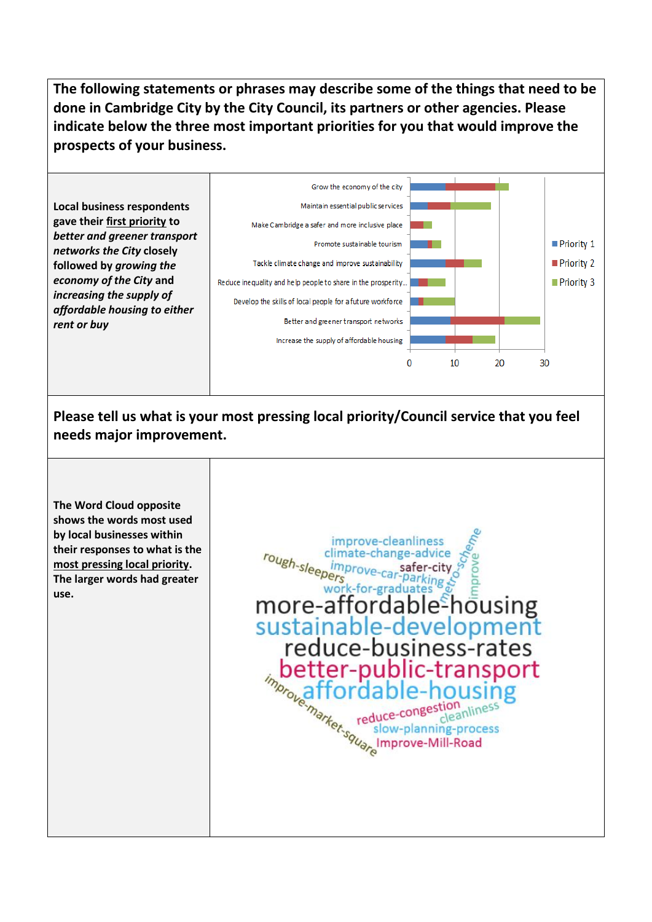**The following statements or phrases may describe some of the things that need to be done in Cambridge City by the City Council, its partners or other agencies. Please indicate below the three most important priorities for you that would improve the prospects of your business.**



**Please tell us what is your most pressing local priority/Council service that you feel needs major improvement.**

**The Word Cloud opposite shows the words most used by local businesses within their responses to what is the most pressing local priority. The larger words had greater use.** 

improve-cleanliness rough-sleepers climate-change-advice safer-city  $\overline{M}$ more-affordable<sup>s</sup>housing<br>sustainable-development reduce-business-rates better-public-transport m<sub>prope</sub>affordable-housing-<br>
manuscription reduce-congestion line<br>
reduce-congestion line<br>
slow-planning-proce<br>
line<br>
manuscription line<br>
manuscription<br>
manuscription<br>
manuscription<br>
manuscription<br>
manuscription<br>
manuscrip slow-planning-process